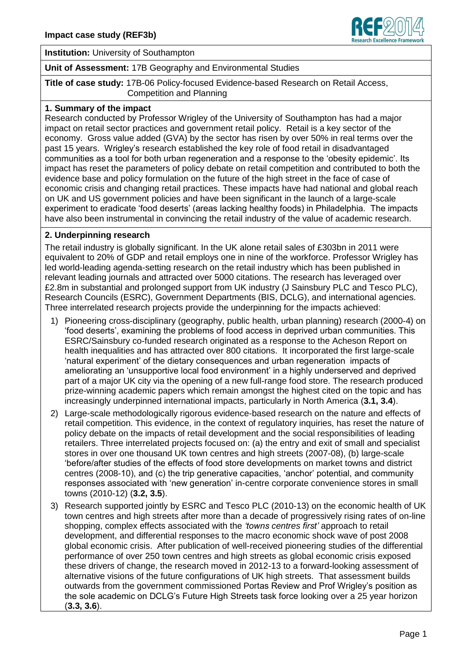

**Institution:** University of Southampton

**Unit of Assessment:** 17B Geography and Environmental Studies

**Title of case study:** 17B-06 Policy-focused Evidence-based Research on Retail Access, Competition and Planning

#### **1. Summary of the impact**

Research conducted by Professor Wrigley of the University of Southampton has had a major impact on retail sector practices and government retail policy. Retail is a key sector of the economy. Gross value added (GVA) by the sector has risen by over 50% in real terms over the past 15 years. Wrigley's research established the key role of food retail in disadvantaged communities as a tool for both urban regeneration and a response to the 'obesity epidemic'. Its impact has reset the parameters of policy debate on retail competition and contributed to both the evidence base and policy formulation on the future of the high street in the face of case of economic crisis and changing retail practices. These impacts have had national and global reach on UK and US government policies and have been significant in the launch of a large-scale experiment to eradicate 'food deserts' (areas lacking healthy foods) in Philadelphia. The impacts have also been instrumental in convincing the retail industry of the value of academic research.

#### **2. Underpinning research**

The retail industry is globally significant. In the UK alone retail sales of £303bn in 2011 were equivalent to 20% of GDP and retail employs one in nine of the workforce. Professor Wrigley has led world-leading agenda-setting research on the retail industry which has been published in relevant leading journals and attracted over 5000 citations. The research has leveraged over £2.8m in substantial and prolonged support from UK industry (J Sainsbury PLC and Tesco PLC), Research Councils (ESRC), Government Departments (BIS, DCLG), and international agencies. Three interrelated research projects provide the underpinning for the impacts achieved:

- 1) Pioneering cross-disciplinary (geography, public health, urban planning) research (2000-4) on 'food deserts', examining the problems of food access in deprived urban communities. This ESRC/Sainsbury co-funded research originated as a response to the Acheson Report on health inequalities and has attracted over 800 citations. It incorporated the first large-scale 'natural experiment' of the dietary consequences and urban regeneration impacts of ameliorating an 'unsupportive local food environment' in a highly underserved and deprived part of a major UK city via the opening of a new full-range food store. The research produced prize-winning academic papers which remain amongst the highest cited on the topic and has increasingly underpinned international impacts, particularly in North America (**3.1, 3.4**).
- 2) Large-scale methodologically rigorous evidence-based research on the nature and effects of retail competition. This evidence, in the context of regulatory inquiries, has reset the nature of policy debate on the impacts of retail development and the social responsibilities of leading retailers. Three interrelated projects focused on: (a) the entry and exit of small and specialist stores in over one thousand UK town centres and high streets (2007-08), (b) large-scale 'before/after studies of the effects of food store developments on market towns and district centres (2008-10), and (c) the trip generative capacities, 'anchor' potential, and community responses associated with 'new generation' in-centre corporate convenience stores in small towns (2010-12) (**3.2, 3.5**).
- 3) Research supported jointly by ESRC and Tesco PLC (2010-13) on the economic health of UK town centres and high streets after more than a decade of progressively rising rates of on-line shopping, complex effects associated with the *'towns centres first'* approach to retail development, and differential responses to the macro economic shock wave of post 2008 global economic crisis. After publication of well-received pioneering studies of the differential performance of over 250 town centres and high streets as global economic crisis exposed these drivers of change, the research moved in 2012-13 to a forward-looking assessment of alternative visions of the future configurations of UK high streets. That assessment builds outwards from the government commissioned Portas Review and Prof Wrigley's position as the sole academic on DCLG's Future High Streets task force looking over a 25 year horizon (**3.3, 3.6**).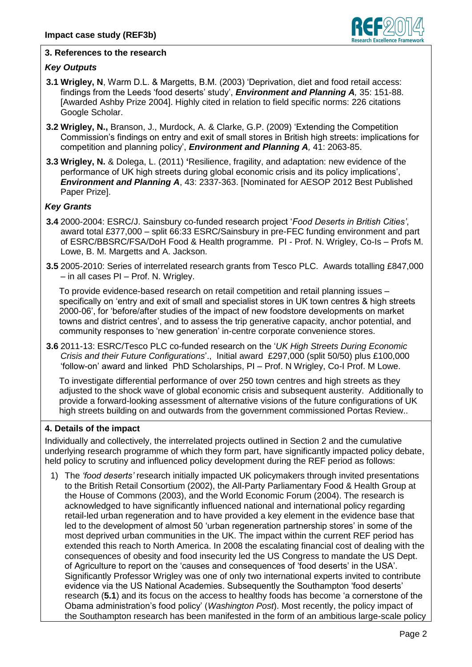

# **3. References to the research**

# *Key Outputs*

- **3.1 Wrigley, N**, Warm D.L. & Margetts, B.M. (2003) 'Deprivation, diet and food retail access: findings from the Leeds 'food deserts' study', *Environment and Planning A,* 35: 151-88. [Awarded Ashby Prize 2004]. Highly cited in relation to field specific norms: 226 citations Google Scholar.
- **3.2 Wrigley, N.,** Branson, J., Murdock, A. & Clarke, G.P. (2009) 'Extending the Competition Commission's findings on entry and exit of small stores in British high streets: implications for competition and planning policy', *Environment and Planning A,* 41: 2063-85.
- **3.3 Wrigley, N.** & Dolega, L. (2011) **'**Resilience, fragility, and adaptation: new evidence of the performance of UK high streets during global economic crisis and its policy implications', *Environment and Planning A*, 43: 2337-363. [Nominated for AESOP 2012 Best Published Paper Prize].

# *Key Grants*

- **3.4** 2000-2004: ESRC/J. Sainsbury co-funded research project '*Food Deserts in British Cities'*, award total £377,000 – split 66:33 ESRC/Sainsbury in pre-FEC funding environment and part of ESRC/BBSRC/FSA/DoH Food & Health programme. PI - Prof. N. Wrigley, Co-Is – Profs M. Lowe, B. M. Margetts and A. Jackson.
- **3.5** 2005-2010: Series of interrelated research grants from Tesco PLC. Awards totalling £847,000 – in all cases PI – Prof. N. Wrigley.

To provide evidence-based research on retail competition and retail planning issues – specifically on 'entry and exit of small and specialist stores in UK town centres & high streets 2000-06', for 'before/after studies of the impact of new foodstore developments on market towns and district centres', and to assess the trip generative capacity, anchor potential, and community responses to 'new generation' in-centre corporate convenience stores.

**3.6** 2011-13: ESRC/Tesco PLC co-funded research on the '*UK High Streets During Economic Crisis and their Future Configurations*'., Initial award £297,000 (split 50/50) plus £100,000 'follow-on' award and linked PhD Scholarships, PI – Prof. N Wrigley, Co-I Prof. M Lowe.

To investigate differential performance of over 250 town centres and high streets as they adjusted to the shock wave of global economic crisis and subsequent austerity. Additionally to provide a forward-looking assessment of alternative visions of the future configurations of UK high streets building on and outwards from the government commissioned Portas Review..

## **4. Details of the impact**

Individually and collectively, the interrelated projects outlined in Section 2 and the cumulative underlying research programme of which they form part, have significantly impacted policy debate, held policy to scrutiny and influenced policy development during the REF period as follows:

1) The *'food deserts'* research initially impacted UK policymakers through invited presentations to the British Retail Consortium (2002), the All-Party Parliamentary Food & Health Group at the House of Commons (2003), and the World Economic Forum (2004). The research is acknowledged to have significantly influenced national and international policy regarding retail-led urban regeneration and to have provided a key element in the evidence base that led to the development of almost 50 'urban regeneration partnership stores' in some of the most deprived urban communities in the UK. The impact within the current REF period has extended this reach to North America. In 2008 the escalating financial cost of dealing with the consequences of obesity and food insecurity led the US Congress to mandate the US Dept. of Agriculture to report on the 'causes and consequences of 'food deserts' in the USA'. Significantly Professor Wrigley was one of only two international experts invited to contribute evidence via the US National Academies. Subsequently the Southampton 'food deserts' research (**5.1**) and its focus on the access to healthy foods has become 'a cornerstone of the Obama administration's food policy' (*Washington Post*). Most recently, the policy impact of the Southampton research has been manifested in the form of an ambitious large-scale policy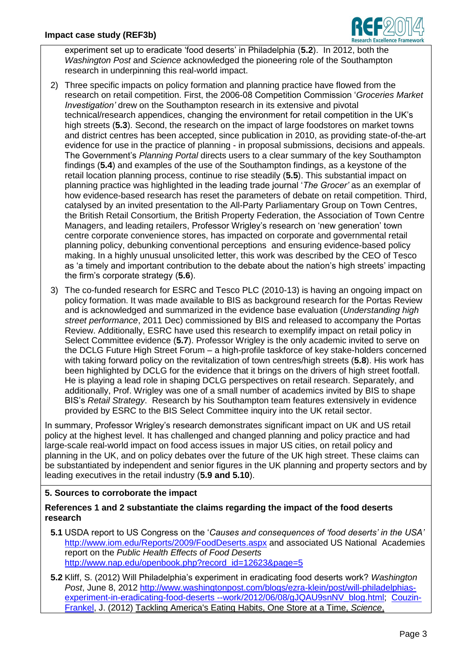

experiment set up to eradicate 'food deserts' in Philadelphia (**5.2**). In 2012, both the *Washington Post* and *Science* acknowledged the pioneering role of the Southampton research in underpinning this real-world impact.

- 2) Three specific impacts on policy formation and planning practice have flowed from the research on retail competition. First, the 2006-08 Competition Commission '*Groceries Market Investigation'* drew on the Southampton research in its extensive and pivotal technical/research appendices, changing the environment for retail competition in the UK's high streets (**5.3**). Second, the research on the impact of large foodstores on market towns and district centres has been accepted, since publication in 2010, as providing state-of-the-art evidence for use in the practice of planning - in proposal submissions, decisions and appeals. The Government's *Planning Portal* directs users to a clear summary of the key Southampton findings (**5.4**) and examples of the use of the Southampton findings, as a keystone of the retail location planning process, continue to rise steadily (**5.5**). This substantial impact on planning practice was highlighted in the leading trade journal '*The Grocer'* as an exemplar of how evidence-based research has reset the parameters of debate on retail competition. Third, catalysed by an invited presentation to the All-Party Parliamentary Group on Town Centres, the British Retail Consortium, the British Property Federation, the Association of Town Centre Managers, and leading retailers, Professor Wrigley's research on 'new generation' town centre corporate convenience stores, has impacted on corporate and governmental retail planning policy, debunking conventional perceptions and ensuring evidence-based policy making. In a highly unusual unsolicited letter, this work was described by the CEO of Tesco as 'a timely and important contribution to the debate about the nation's high streets' impacting the firm's corporate strategy (**5.6**).
- 3) The co-funded research for ESRC and Tesco PLC (2010-13) is having an ongoing impact on policy formation. It was made available to BIS as background research for the Portas Review and is acknowledged and summarized in the evidence base evaluation (*Understanding high street performance*, 2011 Dec) commissioned by BIS and released to accompany the Portas Review. Additionally, ESRC have used this research to exemplify impact on retail policy in Select Committee evidence (**5.7**). Professor Wrigley is the only academic invited to serve on the DCLG Future High Street Forum – a high-profile taskforce of key stake-holders concerned with taking forward policy on the revitalization of town centres/high streets (**5.8**). His work has been highlighted by DCLG for the evidence that it brings on the drivers of high street footfall. He is playing a lead role in shaping DCLG perspectives on retail research. Separately, and additionally, Prof. Wrigley was one of a small number of academics invited by BIS to shape BIS's *Retail Strategy*. Research by his Southampton team features extensively in evidence provided by ESRC to the BIS Select Committee inquiry into the UK retail sector.

In summary, Professor Wrigley's research demonstrates significant impact on UK and US retail policy at the highest level. It has challenged and changed planning and policy practice and had large-scale real-world impact on food access issues in major US cities, on retail policy and planning in the UK, and on policy debates over the future of the UK high street. These claims can be substantiated by independent and senior figures in the UK planning and property sectors and by leading executives in the retail industry (**5.9 and 5.10**).

## **5. Sources to corroborate the impact**

# **References 1 and 2 substantiate the claims regarding the impact of the food deserts research**

- **5.1** USDA report to US Congress on the '*Causes and consequences of 'food deserts' in the USA'* <http://www.iom.edu/Reports/2009/FoodDeserts.aspx> and associated US National Academies report on the *Public Health Effects of Food Deserts* [http://www.nap.edu/openbook.php?record\\_id=12623&page=5](http://www.nap.edu/openbook.php?record_id=12623&page=5)
- **5.2** Kliff, S. (2012) Will Philadelphia's experiment in eradicating food deserts work? *Washington Post*, June 8, 2012 [http://www.washingtonpost.com/blogs/ezra-klein/post/will-philadelphias](http://www.washingtonpost.com/blogs/ezra-klein/post/will-philadelphias-experiment-in-eradicating-food-deserts%20--work/2012/06/08/gJQAU9snNV_blog.html)[experiment-in-eradicating-food-deserts --work/2012/06/08/gJQAU9snNV\\_blog.html;](http://www.washingtonpost.com/blogs/ezra-klein/post/will-philadelphias-experiment-in-eradicating-food-deserts%20--work/2012/06/08/gJQAU9snNV_blog.html) [Couzin-](http://www.sciencemag.org/search?author1=Jennifer+Couzin-Frankel&sortspec=date&submit=Submit)[Frankel,](http://www.sciencemag.org/search?author1=Jennifer+Couzin-Frankel&sortspec=date&submit=Submit) J. (2012) Tackling America's Eating Habits, One Store at a Time, *Science*,